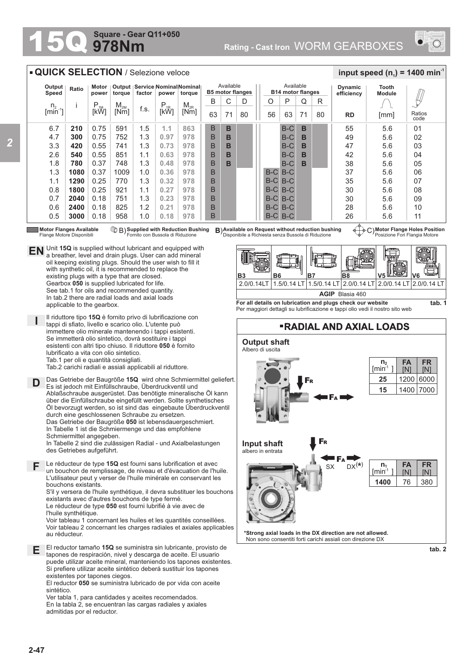## **978Nm Square - Gear Q11+050**



## **QUICK SELECTION** / Selezione veloce

| Output<br>Speed       | Ratio | Motor<br>power | torque   | Output   Service   Nominal Nominal   <br>factor<br>torque<br>power |          |          | Available<br><b>B5 motor flanges</b> |    |    |       | Available<br><b>B14 motor flanges</b> |    |    | <b>Dynamic</b><br>efficiency | Tooth<br><b>Module</b> |                |
|-----------------------|-------|----------------|----------|--------------------------------------------------------------------|----------|----------|--------------------------------------|----|----|-------|---------------------------------------|----|----|------------------------------|------------------------|----------------|
| n <sub>2</sub>        |       | $P_{1M}$       | $M_{2M}$ |                                                                    | $P_{1R}$ | $M_{2R}$ | B                                    | Ü  | D  | O     | P                                     | Q  | R  |                              |                        | m              |
| $\lim_{n \to \infty}$ |       | [kW]           | [Nm]     | f.s.                                                               | [kŴ]     | [Nm]     | 63                                   | 71 | 80 | 56    | 63                                    | 71 | 80 | <b>RD</b>                    | [mm]                   | Ratios<br>code |
| 6.7                   | 210   | 0.75           | 591      | 1.5                                                                | 1.1      | 863      | B                                    | B  |    |       | $B-C$                                 | B  |    | 55                           | 5.6                    | 0 <sub>1</sub> |
| 4.7                   | 300   | 0.75           | 752      | 1.3                                                                | 0.97     | 978      | B                                    | B  |    |       | $B-C$                                 | в  |    | 49                           | 5.6                    | 02             |
| 3.3                   | 420   | 0.55           | 741      | 1.3                                                                | 0.73     | 978      | B                                    | в  |    |       | $B-C$                                 | в  |    | 47                           | 5.6                    | 03             |
| 2.6                   | 540   | 0.55           | 851      | 1.1                                                                | 0.63     | 978      | B                                    | B  |    |       | $B-C$                                 | B  |    | 42                           | 5.6                    | 04             |
| 1.8                   | 780   | 0.37           | 748      | 1.3                                                                | 0.48     | 978      | B                                    | B  |    |       | $B-C$                                 | в  |    | 38                           | 5.6                    | 05             |
| 1.3                   | 1080  | 0.37           | 1009     | 1.0                                                                | 0.36     | 978      | B                                    |    |    | $B-C$ | $B-C$                                 |    |    | 37                           | 5.6                    | 06             |
| 1.1                   | 1290  | 0.25           | 770      | 1.3                                                                | 0.32     | 978      | B                                    |    |    | $B-C$ | $B-C$                                 |    |    | 35                           | 5.6                    | 07             |
| 0.8                   | 1800  | 0.25           | 921      | 1.1                                                                | 0.27     | 978      | B                                    |    |    | $B-C$ | B-C                                   |    |    | 30                           | 5.6                    | 08             |
| 0.7                   | 2040  | 0.18           | 751      | 1.3                                                                | 0.23     | 978      | B                                    |    |    | $B-C$ | $B-C$                                 |    |    | 30                           | 5.6                    | 09             |
| 0.6                   | 2400  | 0.18           | 825      | 1.2                                                                | 0.21     | 978      | B                                    |    |    | $B-C$ | B-C                                   |    |    | 28                           | 5.6                    | 10             |
| 0.5                   | 3000  | 0.18           | 958      | 1.0                                                                | 0.18     | 978      | B                                    |    |    | $B-C$ | $B-C$                                 |    |    | 26                           | 5.6                    | 11             |

Flange Motore Disponibili

Motor Flanges Available  $\bigcirc$  B) Supplied with Reduction Bushing B)Available on Request without reduction bushing  $\leftarrow$  G)<br>Flange Motore Disponibili Flange on Bussola di Riduzione Disponibile a Richiesta senza Bussola di

**Motor Flange Holes Position** Posizione Fori Flangia Motore

 $\frac{1}{2}$  **input speed (n**<sub>1</sub>) = 1400 min<sup>-1</sup>



**For all details on lubrication and plugs check our website**  Per maggiori dettagli su lubrificazione e tappi olio vedi il nostro sito web



**tab. 2**

**I EN** Unit **15Q** is supplied without lubricant and equipped with a breather, level and drain plugs. User can add mineral a breather, level and drain plugs. User can add mineral oil keeping existing plugs. Should the user wish to fill it with synthetic oil, it is recommended to replace the existing plugs with a type that are closed. Gearbox **050** is supplied lubricated for life. See tab.1 for oils and recommended quantity. In tab.2 there are radial loads and axial loads applicable to the gearbox. Il riduttore tipo **15Q** è fornito privo di lubrificazione con tappi di sfiato, livello e scarico olio. L'utente può

immettere olio minerale mantenendo i tappi esistenti. Se immetterà olio sintetico, dovrà sostituire i tappi esistenti con altri tipo chiuso. Il riduttore **050** è fornito lubrificato a vita con olio sintetico. Tab.1 per oli e quantità consigliati. Tab.2 carichi radiali e assiali applicabili al riduttore.

**D** Das Getriebe der Baugröße **15Q** wird ohne Schmiermittel geliefert. Es ist jedoch mit Einfüllschraube, Überdruckventil und Ablaßschraube ausgerüstet. Das benötigte mineralische Öl kann über die Einfüllschraube eingefüllt werden. Sollte synthetisches Öl bevorzugt werden, so ist sind das eingebaute Überdruckventil durch eine geschlossenen Schraube zu ersetzen. Das Getriebe der Baugröße **050** ist lebensdauergeschmiert. In Tabelle 1 ist die Schmiermenge und das empfohlene Schmiermittel angegeben. In Tabelle 2 sind die zulässigen Radial - und Axialbelastungen des Getriebes aufgeführt. Le réducteur de type **15Q** est fourni sans lubrification et avec **F** un bouchon de remplissage, de niveau et d'évacuation de l'huile. L'utilisateur peut y verser de l'huile minérale en conservant les bouchons existants.

S'il y versera de l'huile synthétique, il devra substituer les bouchons existants avec d'autres bouchons de type fermé.

Le réducteur de type **050** est fourni lubrifié à vie avec de l'huile synthétique. Voir tableau 1 concernant les huiles et les quantités conseillées.

Voir tableau 2 concernant les charges radiales et axiales applicables au réducteur.

El reductor tamaño **15Q** se suministra sin lubricante, provisto de tapones de respiración, nivel y descarga de aceite. El usuario puede utilizar aceite mineral, manteniendo los tapones existentes. Si prefiere utilizar aceite sintético deberá sustituir los tapones existentes por tapones ciegos. **E**

El reductor **050** se suministra lubricado de por vida con aceite sintético.

Ver tabla 1, para cantidades y aceites recomendados. En la tabla 2, se encuentran las cargas radiales y axiales admitidas por el reductor.